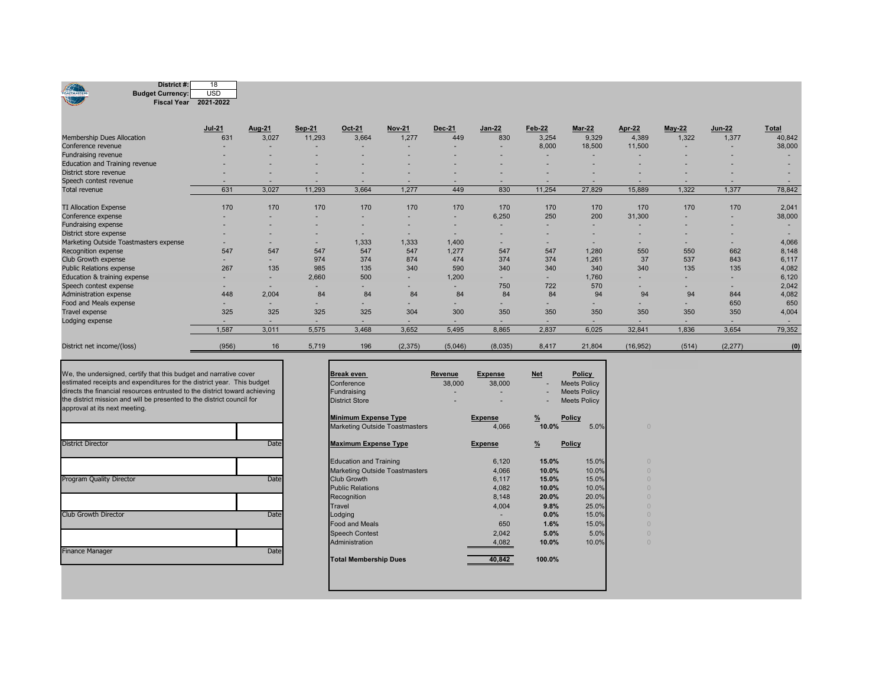| District #:<br>Œ<br><b>Budget Currency:</b><br><b>TOASTMASTERS</b><br>Fiscal Year 2021-2022 | 18<br><b>USD</b> |        |               |        |               |         |               |        |               |           |          |               |              |
|---------------------------------------------------------------------------------------------|------------------|--------|---------------|--------|---------------|---------|---------------|--------|---------------|-----------|----------|---------------|--------------|
|                                                                                             | <b>Jul-21</b>    | Aug-21 | <b>Sep 21</b> | Oct-21 | <b>Nov-21</b> | Dec-21  | <b>Jan-22</b> | Feb 22 | <b>Mar-22</b> | Apr-22    | $May-22$ | <b>Jun-22</b> | <b>Total</b> |
| Membership Dues Allocation                                                                  | 631              | 3,027  | 11,293        | 3,664  | 1,277         | 449     | 830           | 3,254  | 9,329         | 4,389     | 1,322    | 1,377         | 40,842       |
| Conference revenue                                                                          |                  |        |               |        | ٠             |         |               | 8,000  | 18,500        | 11,500    |          |               | 38,000       |
| Fundraising revenue                                                                         |                  |        |               |        |               |         |               | -      |               |           |          |               |              |
| Education and Training revenue                                                              |                  |        |               |        |               |         |               |        |               |           |          |               |              |
| District store revenue                                                                      |                  |        |               |        |               |         |               |        |               |           |          |               |              |
| Speech contest revenue                                                                      |                  |        |               |        | ۰             |         |               |        |               |           |          |               |              |
| <b>Total revenue</b>                                                                        | 631              | 3,027  | 11,293        | 3,664  | 1.277         | 449     | 830           | 11,254 | 27,829        | 15,889    | 1,322    | 1,377         | 78,842       |
| <b>TI Allocation Expense</b>                                                                | 170              | 170    | 170           | 170    | 170           | 170     | 170           | 170    | 170           | 170       | 170      | 170           | 2,041        |
| Conference expense                                                                          |                  |        |               |        | ٠             |         | 6,250         | 250    | 200           | 31,300    | ۰        | ٠             | 38,000       |
| Fundraising expense                                                                         |                  |        |               |        | ٠             |         | $\sim$        |        |               |           |          |               |              |
| District store expense                                                                      |                  |        |               |        | ٠             |         | ٠             |        |               |           |          | ۰             |              |
| Marketing Outside Toastmasters expense                                                      | -                |        |               | 1,333  | 1,333         | 1,400   | ۰.            |        |               |           |          | ۰.            | 4,066        |
| Recognition expense                                                                         | 547              | 547    | 547           | 547    | 547           | 1,277   | 547           | 547    | 1,280         | 550       | 550      | 662           | 8,148        |
| Club Growth expense                                                                         | ۰                |        | 974           | 374    | 874           | 474     | 374           | 374    | 1,261         | 37        | 537      | 843           | 6,117        |
| <b>Public Relations expense</b>                                                             | 267              | 135    | 985           | 135    | 340           | 590     | 340           | 340    | 340           | 340       | 135      | 135           | 4,082        |
| Education & training expense                                                                | ۰                |        | 2.660         | 500    | ۰             | 1,200   |               |        | 1,760         |           |          | ٠             | 6,120        |
| Speech contest expense                                                                      | ۰                | $\sim$ |               | ٠      | ۰             |         | 750           | 722    | 570           |           |          |               | 2,042        |
| Administration expense                                                                      | 448              | 2,004  | 84            | 84     | 84            | 84      | 84            | 84     | 94            | 94        | 94       | 844           | 4,082        |
| Food and Meals expense                                                                      | -                |        |               |        | ۰             |         |               |        |               |           |          | 650           | 650          |
| <b>Travel expense</b>                                                                       | 325              | 325    | 325           | 325    | 304           | 300     | 350           | 350    | 350           | 350       | 350      | 350           | 4,004        |
| Lodging expense                                                                             | ۰                | ۰      |               |        | ۰             |         |               | -      |               |           |          |               |              |
|                                                                                             | 1,587            | 3,011  | 5,575         | 3,468  | 3,652         | 5,495   | 8,865         | 2,837  | 6,025         | 32,841    | 1,836    | 3,654         | 79,352       |
| District net income/(loss)                                                                  | (956)            | 16     | 5,719         | 196    | (2, 375)      | (5,046) | (8,035)       | 8,417  | 21,804        | (16, 952) | (514)    | (2, 277)      | (0)          |

| <b>District Director</b>        | Date |
|---------------------------------|------|
|                                 |      |
| <b>Program Quality Director</b> | Date |
|                                 |      |
| <b>Club Growth Director</b>     | Date |
|                                 |      |
| <b>Finance Manager</b>          | Date |

| We, the undersigned, certify that this budget and narrative cover<br>estimated receipts and expenditures for the district year. This budget<br>directs the financial resources entrusted to the district toward achieving<br>the district mission and will be presented to the district council for<br>approval at its next meeting. |      | <b>Break even</b><br>Conference<br>Fundraising<br><b>District Store</b> | Revenue<br>38,000 | <b>Expense</b><br>38,000 | <b>Net</b>                                                                                               | <b>Policy</b><br><b>Meets Policy</b><br><b>Meets Policy</b><br><b>Meets Policy</b> |               |
|--------------------------------------------------------------------------------------------------------------------------------------------------------------------------------------------------------------------------------------------------------------------------------------------------------------------------------------|------|-------------------------------------------------------------------------|-------------------|--------------------------|----------------------------------------------------------------------------------------------------------|------------------------------------------------------------------------------------|---------------|
|                                                                                                                                                                                                                                                                                                                                      |      | <b>Minimum Expense Type</b>                                             |                   | <b>Expense</b>           | $\frac{9}{6}$                                                                                            | <b>Policy</b>                                                                      |               |
|                                                                                                                                                                                                                                                                                                                                      |      | Marketing Outside Toastmasters                                          |                   | 4,066                    |                                                                                                          | 5.0%                                                                               |               |
| <b>District Director</b>                                                                                                                                                                                                                                                                                                             | Date | <b>Maximum Expense Type</b>                                             |                   | <b>Expense</b>           | $\frac{9}{6}$                                                                                            | <b>Policy</b>                                                                      |               |
|                                                                                                                                                                                                                                                                                                                                      |      | <b>Education and Training</b>                                           |                   | 6,120                    |                                                                                                          | 15.0%                                                                              |               |
|                                                                                                                                                                                                                                                                                                                                      |      | Marketing Outside Toastmasters                                          |                   | 4,066                    |                                                                                                          | 10.0%                                                                              |               |
| <b>Program Quality Director</b>                                                                                                                                                                                                                                                                                                      | Date | <b>Club Growth</b>                                                      |                   | 6,117                    |                                                                                                          | 15.0%                                                                              |               |
|                                                                                                                                                                                                                                                                                                                                      |      | <b>Public Relations</b>                                                 |                   | 4,082                    |                                                                                                          | 10.0%                                                                              |               |
|                                                                                                                                                                                                                                                                                                                                      |      | Recognition                                                             |                   | 8,148                    |                                                                                                          | 20.0%                                                                              |               |
|                                                                                                                                                                                                                                                                                                                                      |      | Travel                                                                  |                   | 4,004                    |                                                                                                          | 25.0%                                                                              |               |
| Club Growth Director                                                                                                                                                                                                                                                                                                                 | Date | Lodging                                                                 |                   |                          |                                                                                                          | 15.0%                                                                              | $\mathcal{C}$ |
|                                                                                                                                                                                                                                                                                                                                      |      | <b>Food and Meals</b>                                                   |                   | 650                      | 10.0%<br>15.0%<br>10.0%<br>15.0%<br>10.0%<br>20.0%<br>9.8%<br>$0.0\%$<br>1.6%<br>5.0%<br>10.0%<br>100.0% | 15.0%                                                                              | $\mathcal{C}$ |
|                                                                                                                                                                                                                                                                                                                                      |      | <b>Speech Contest</b>                                                   |                   | 2,042                    |                                                                                                          | 5.0%                                                                               | $\mathcal{C}$ |
|                                                                                                                                                                                                                                                                                                                                      |      | Administration                                                          |                   | 4,082                    |                                                                                                          | 10.0%                                                                              |               |
| <b>Finance Manager</b>                                                                                                                                                                                                                                                                                                               | Date | <b>Total Membership Dues</b>                                            |                   | 40,842                   |                                                                                                          |                                                                                    |               |
|                                                                                                                                                                                                                                                                                                                                      |      |                                                                         |                   |                          |                                                                                                          |                                                                                    |               |
|                                                                                                                                                                                                                                                                                                                                      |      |                                                                         |                   |                          |                                                                                                          |                                                                                    |               |

٦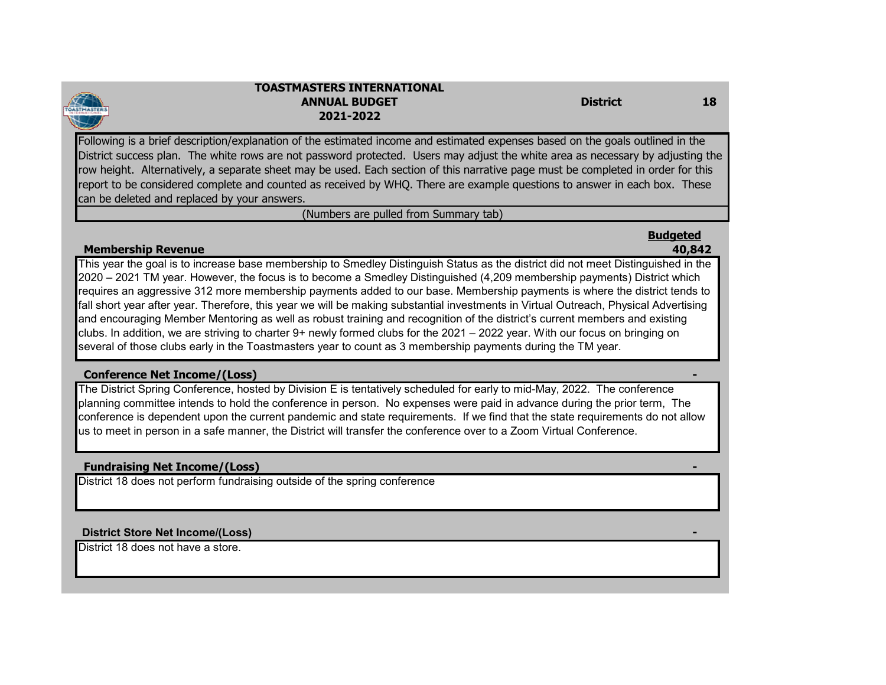

#### **TOASTMASTERS INTERNATIONALANNUAL BUDGET District2021-2022**

Following is a brief description/explanation of the estimated income and estimated expenses based on the goals outlined in the District success plan. The white rows are not password protected. Users may adjust the white area as necessary by adjusting the row height. Alternatively, a separate sheet may be used. Each section of this narrative page must be completed in order for this report to be considered complete and counted as received by WHQ. There are example questions to answer in each box. These can be deleted and replaced by your answers.

(Numbers are pulled from Summary tab)

# **Budgeted**

### **Membership Revenue 40,842**

This year the goal is to increase base membership to Smedley Distinguish Status as the district did not meet Distinguished in the 2020 – 2021 TM year. However, the focus is to become a Smedley Distinguished (4,209 membership payments) District which requires an aggressive 312 more membership payments added to our base. Membership payments is where the district tends to fall short year after year. Therefore, this year we will be making substantial investments in Virtual Outreach, Physical Advertising and encouraging Member Mentoring as well as robust training and recognition of the district's current members and existing clubs. In addition, we are striving to charter 9+ newly formed clubs for the 2021 – 2022 year. With our focus on bringing on several of those clubs early in the Toastmasters year to count as 3 membership payments during the TM year.

# **Conference Net Income/(Loss) -**

The District Spring Conference, hosted by Division E is tentatively scheduled for early to mid-May, 2022. The conference planning committee intends to hold the conference in person. No expenses were paid in advance during the prior term, The conference is dependent upon the current pandemic and state requirements. If we find that the state requirements do not allow us to meet in person in a safe manner, the District will transfer the conference over to a Zoom Virtual Conference.

# **Fundraising Net Income/(Loss) -**

District 18 does not perform fundraising outside of the spring conference

### **District Store Net Income/(Loss) -**

District 18 does not have a store.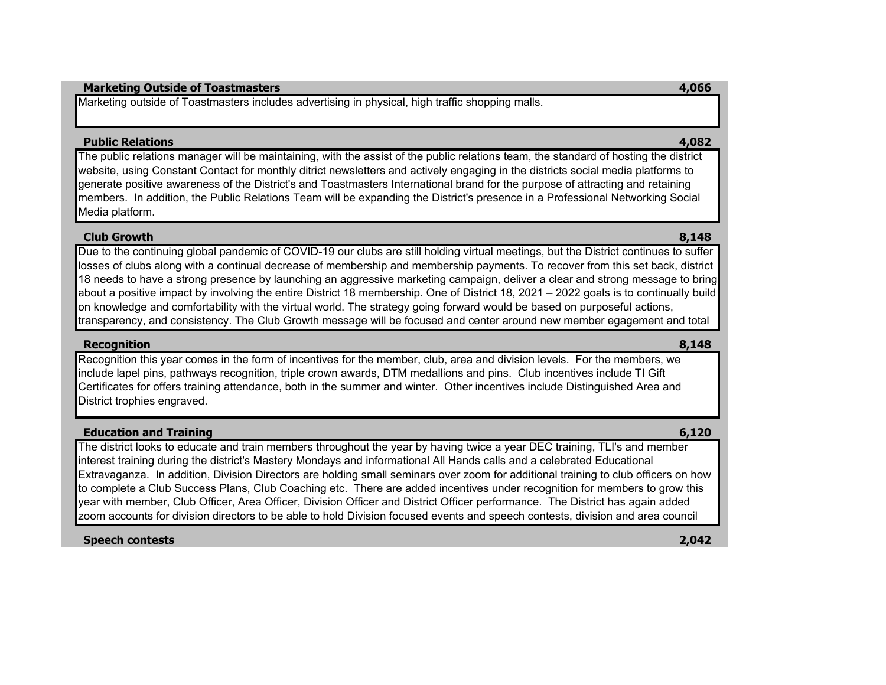#### **Marketing Outside of Toastmasters 4,066**

Marketing outside of Toastmasters includes advertising in physical, high traffic shopping malls.

#### **Public Relations 4,082**

The public relations manager will be maintaining, with the assist of the public relations team, the standard of hosting the district website, using Constant Contact for monthly ditrict newsletters and actively engaging in the districts social media platforms to generate positive awareness of the District's and Toastmasters International brand for the purpose of attracting and retaining members. In addition, the Public Relations Team will be expanding the District's presence in a Professional Networking Social Media platform.

#### **Club Growth8,148**

Due to the continuing global pandemic of COVID-19 our clubs are still holding virtual meetings, but the District continues to suffer losses of clubs along with a continual decrease of membership and membership payments. To recover from this set back, district 18 needs to have a strong presence by launching an aggressive marketing campaign, deliver a clear and strong message to bring about a positive impact by involving the entire District 18 membership. One of District 18, 2021 – 2022 goals is to continually build on knowledge and comfortability with the virtual world. The strategy going forward would be based on purposeful actions, transparency, and consistency. The Club Growth message will be focused and center around new member egagement and total

### **Recognition 8,148**

Recognition this year comes in the form of incentives for the member, club, area and division levels. For the members, we include lapel pins, pathways recognition, triple crown awards, DTM medallions and pins. Club incentives include TI Gift Certificates for offers training attendance, both in the summer and winter. Other incentives include Distinguished Area and District trophies engraved.

### **Education and Training 6,120**

The district looks to educate and train members throughout the year by having twice a year DEC training, TLI's and member interest training during the district's Mastery Mondays and informational All Hands calls and a celebrated Educational Extravaganza. In addition, Division Directors are holding small seminars over zoom for additional training to club officers on how to complete a Club Success Plans, Club Coaching etc. There are added incentives under recognition for members to grow this year with member, Club Officer, Area Officer, Division Officer and District Officer performance. The District has again added zoom accounts for division directors to be able to hold Division focused events and speech contests, division and area council

### **Speech contests 2,042**